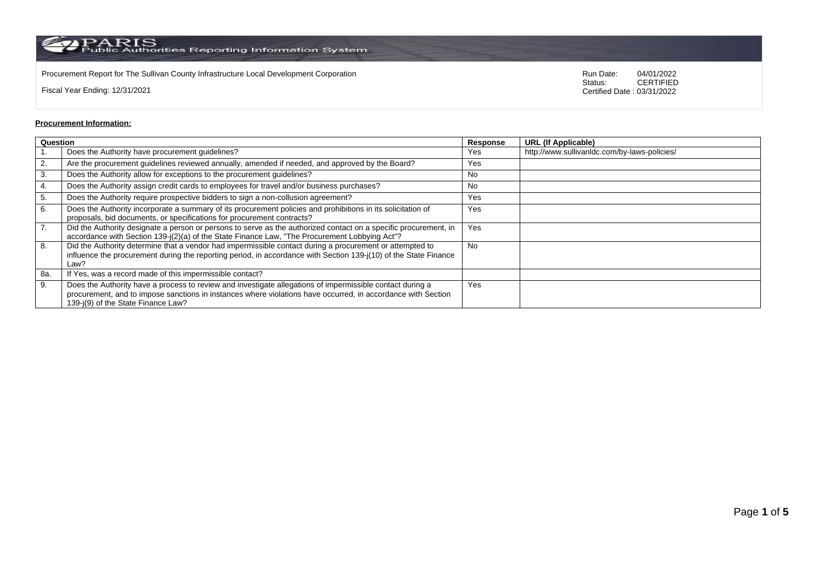$\rm PARS$  Public Authorities Reporting Information System

Procurement Report for The Sullivan County Infrastructure Local Development Corporation **Procurement Consumers Consumers Consumers** Run Date: 04/01/2022<br>Status: CERTIFIED

Fiscal Year Ending: 12/31/2021

CERTIFIED Certified Date : 03/31/2022

## **Procurement Information:**

| Question         |                                                                                                                                                                                                                                                                 |     | <b>URL (If Applicable)</b>                   |
|------------------|-----------------------------------------------------------------------------------------------------------------------------------------------------------------------------------------------------------------------------------------------------------------|-----|----------------------------------------------|
|                  | Does the Authority have procurement guidelines?                                                                                                                                                                                                                 | Yes | http://www.sullivanldc.com/by-laws-policies/ |
| 2.               | Are the procurement guidelines reviewed annually, amended if needed, and approved by the Board?                                                                                                                                                                 | Yes |                                              |
| 3.               | Does the Authority allow for exceptions to the procurement guidelines?                                                                                                                                                                                          | No  |                                              |
| 4.               | Does the Authority assign credit cards to employees for travel and/or business purchases?                                                                                                                                                                       | No  |                                              |
| 5.               | Does the Authority require prospective bidders to sign a non-collusion agreement?                                                                                                                                                                               | Yes |                                              |
| 6.               | Does the Authority incorporate a summary of its procurement policies and prohibitions in its solicitation of<br>proposals, bid documents, or specifications for procurement contracts?                                                                          | Yes |                                              |
| $\overline{7}$ . | Did the Authority designate a person or persons to serve as the authorized contact on a specific procurement, in<br>accordance with Section 139-j(2)(a) of the State Finance Law, "The Procurement Lobbying Act"?                                               | Yes |                                              |
| 8.               | Did the Authority determine that a vendor had impermissible contact during a procurement or attempted to<br>influence the procurement during the reporting period, in accordance with Section 139-j(10) of the State Finance<br>Law?                            | No. |                                              |
| 8a.              | If Yes, was a record made of this impermissible contact?                                                                                                                                                                                                        |     |                                              |
| 9.               | Does the Authority have a process to review and investigate allegations of impermissible contact during a<br>procurement, and to impose sanctions in instances where violations have occurred, in accordance with Section<br>139-i(9) of the State Finance Law? | Yes |                                              |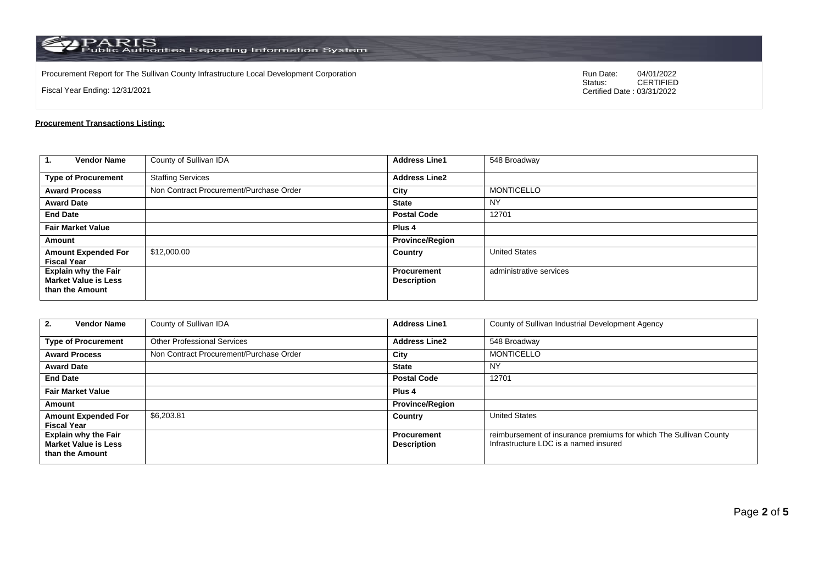$\rm PARS$  PARIS<br>Public Authorities Reporting Information System

Procurement Report for The Sullivan County Infrastructure Local Development Corporation Run Date: 04/01/2022 Run Date: 04/01/2022 Run Date: 04/01/2022 Run Date: 04/01/2022 Run Date: 04/01/2022 Ratus: 04/04/2022 Ratus: 04/0

Fiscal Year Ending: 12/31/2021

04/01/2022<br>CERTIFIED Certified Date : 03/31/2022

## **Procurement Transactions Listing:**

| <b>Vendor Name</b><br>1.                                                      | County of Sullivan IDA                  | <b>Address Line1</b>                     | 548 Broadway            |
|-------------------------------------------------------------------------------|-----------------------------------------|------------------------------------------|-------------------------|
| <b>Type of Procurement</b>                                                    | <b>Staffing Services</b>                | <b>Address Line2</b>                     |                         |
| <b>Award Process</b>                                                          | Non Contract Procurement/Purchase Order | City                                     | <b>MONTICELLO</b>       |
| <b>Award Date</b>                                                             |                                         | <b>State</b>                             | <b>NY</b>               |
| <b>End Date</b>                                                               |                                         | <b>Postal Code</b>                       | 12701                   |
| <b>Fair Market Value</b>                                                      |                                         | Plus <sub>4</sub>                        |                         |
| Amount                                                                        |                                         | <b>Province/Region</b>                   |                         |
| <b>Amount Expended For</b><br><b>Fiscal Year</b>                              | \$12,000.00                             | Country                                  | <b>United States</b>    |
| <b>Explain why the Fair</b><br><b>Market Value is Less</b><br>than the Amount |                                         | <b>Procurement</b><br><b>Description</b> | administrative services |

| <b>Vendor Name</b><br>2.                                                      | County of Sullivan IDA                  | <b>Address Line1</b>                     | County of Sullivan Industrial Development Agency                                                           |
|-------------------------------------------------------------------------------|-----------------------------------------|------------------------------------------|------------------------------------------------------------------------------------------------------------|
| <b>Type of Procurement</b>                                                    | <b>Other Professional Services</b>      | <b>Address Line2</b>                     | 548 Broadway                                                                                               |
| <b>Award Process</b>                                                          | Non Contract Procurement/Purchase Order | City                                     | <b>MONTICELLO</b>                                                                                          |
| <b>Award Date</b>                                                             |                                         | <b>State</b>                             | <b>NY</b>                                                                                                  |
| <b>End Date</b>                                                               |                                         | <b>Postal Code</b>                       | 12701                                                                                                      |
| <b>Fair Market Value</b>                                                      |                                         | Plus 4                                   |                                                                                                            |
| Amount                                                                        |                                         | <b>Province/Region</b>                   |                                                                                                            |
| <b>Amount Expended For</b><br><b>Fiscal Year</b>                              | \$6.203.81                              | Country                                  | <b>United States</b>                                                                                       |
| <b>Explain why the Fair</b><br><b>Market Value is Less</b><br>than the Amount |                                         | <b>Procurement</b><br><b>Description</b> | reimbursement of insurance premiums for which The Sullivan County<br>Infrastructure LDC is a named insured |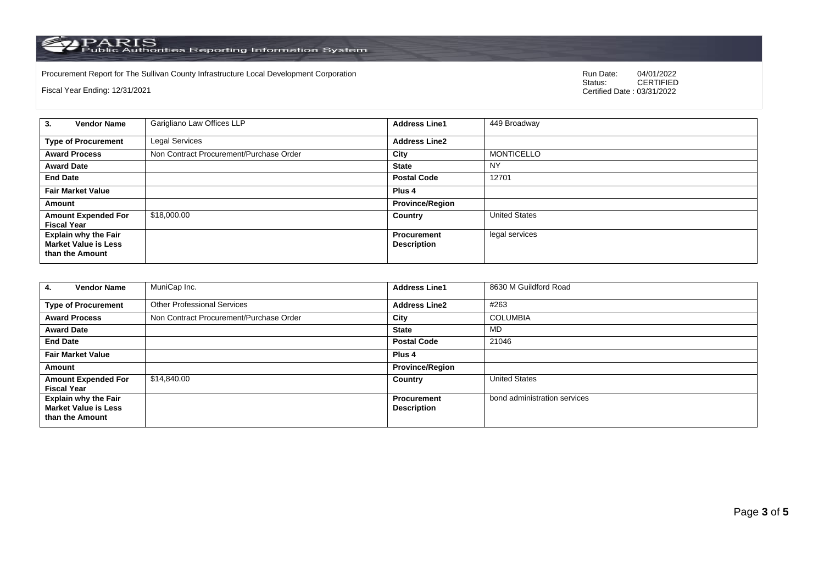PARIS<br>Public Authorities Reporting Information System

Procurement Report for The Sullivan County Infrastructure Local Development Corporation Run Date: 04/01/2022 Run Date: 04/01/2022 Run Date: 04/01/2022 Run Date: 04/01/2022 Run Date: 04/01/2022 Ratus: 04/04/2022 Ratus: 04/0

Fiscal Year Ending: 12/31/2021

04/01/2022<br>CERTIFIED Certified Date : 03/31/2022

| <b>Vendor Name</b><br>3.                                                      | Garigliano Law Offices LLP              | <b>Address Line1</b>              | 449 Broadway         |
|-------------------------------------------------------------------------------|-----------------------------------------|-----------------------------------|----------------------|
| <b>Type of Procurement</b>                                                    | Legal Services                          | <b>Address Line2</b>              |                      |
| <b>Award Process</b>                                                          | Non Contract Procurement/Purchase Order | City                              | <b>MONTICELLO</b>    |
| <b>Award Date</b>                                                             |                                         | <b>State</b>                      | NY                   |
| <b>End Date</b>                                                               |                                         | <b>Postal Code</b>                | 12701                |
| <b>Fair Market Value</b>                                                      |                                         | Plus <sub>4</sub>                 |                      |
| Amount                                                                        |                                         | <b>Province/Region</b>            |                      |
| <b>Amount Expended For</b><br><b>Fiscal Year</b>                              | \$18,000.00                             | Country                           | <b>United States</b> |
| <b>Explain why the Fair</b><br><b>Market Value is Less</b><br>than the Amount |                                         | Procurement<br><b>Description</b> | legal services       |

| <b>Vendor Name</b><br>4.                                                      | MuniCap Inc.                            | <b>Address Line1</b>                     | 8630 M Guildford Road        |
|-------------------------------------------------------------------------------|-----------------------------------------|------------------------------------------|------------------------------|
| <b>Type of Procurement</b>                                                    | <b>Other Professional Services</b>      | <b>Address Line2</b>                     | #263                         |
| <b>Award Process</b>                                                          | Non Contract Procurement/Purchase Order | City                                     | <b>COLUMBIA</b>              |
| <b>Award Date</b>                                                             |                                         | <b>State</b>                             | MD                           |
| <b>End Date</b>                                                               |                                         | <b>Postal Code</b>                       | 21046                        |
| <b>Fair Market Value</b>                                                      |                                         | Plus <sub>4</sub>                        |                              |
| Amount                                                                        |                                         | <b>Province/Region</b>                   |                              |
| <b>Amount Expended For</b><br><b>Fiscal Year</b>                              | \$14,840.00                             | Country                                  | <b>United States</b>         |
| <b>Explain why the Fair</b><br><b>Market Value is Less</b><br>than the Amount |                                         | <b>Procurement</b><br><b>Description</b> | bond administration services |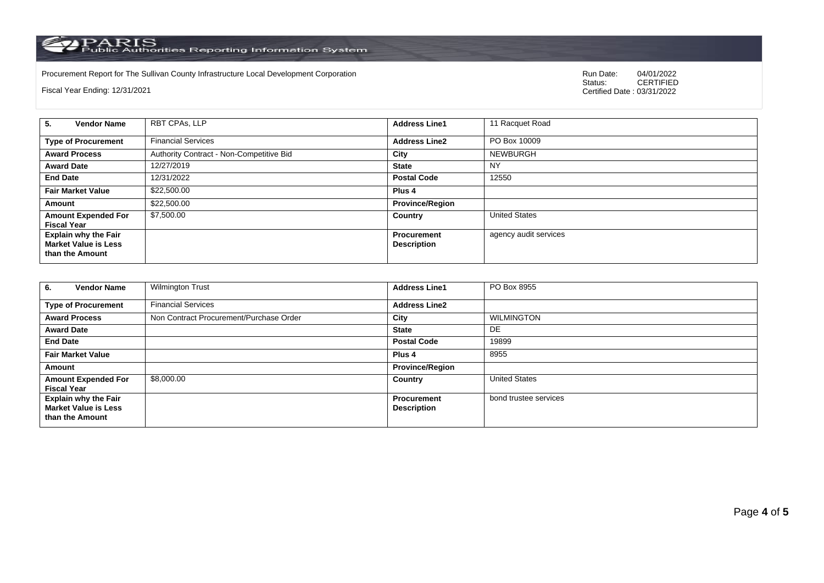PARIS<br>Public Authorities Reporting Information System

Procurement Report for The Sullivan County Infrastructure Local Development Corporation Run Date: 04/01/2022 Run Date: 04/01/2022 Run Date: 04/01/2022 Run Date: 04/01/2022 Run Date: 04/01/2022 Ratus: 04/04/2022 Ratus: 04/0

Fiscal Year Ending: 12/31/2021

04/01/2022<br>CERTIFIED Certified Date : 03/31/2022

| <b>Vendor Name</b><br>5.                                                      | RBT CPAs, LLP                            | <b>Address Line1</b>                     | 11 Racquet Road       |
|-------------------------------------------------------------------------------|------------------------------------------|------------------------------------------|-----------------------|
| <b>Type of Procurement</b>                                                    | <b>Financial Services</b>                | <b>Address Line2</b>                     | PO Box 10009          |
| <b>Award Process</b>                                                          | Authority Contract - Non-Competitive Bid | City                                     | NEWBURGH              |
| <b>Award Date</b>                                                             | 12/27/2019                               | <b>State</b>                             | NY                    |
| <b>End Date</b>                                                               | 12/31/2022                               | <b>Postal Code</b>                       | 12550                 |
| <b>Fair Market Value</b>                                                      | \$22,500.00                              | Plus 4                                   |                       |
| Amount                                                                        | \$22,500.00                              | <b>Province/Region</b>                   |                       |
| <b>Amount Expended For</b><br><b>Fiscal Year</b>                              | \$7,500.00                               | Country                                  | <b>United States</b>  |
| <b>Explain why the Fair</b><br><b>Market Value is Less</b><br>than the Amount |                                          | <b>Procurement</b><br><b>Description</b> | agency audit services |

| <b>Vendor Name</b><br>6.                                                      | <b>Wilmington Trust</b>                 | <b>Address Line1</b>                     | PO Box 8955           |
|-------------------------------------------------------------------------------|-----------------------------------------|------------------------------------------|-----------------------|
| <b>Type of Procurement</b>                                                    | <b>Financial Services</b>               | <b>Address Line2</b>                     |                       |
| <b>Award Process</b>                                                          | Non Contract Procurement/Purchase Order | City                                     | <b>WILMINGTON</b>     |
| <b>Award Date</b>                                                             |                                         | <b>State</b>                             | DE.                   |
| <b>End Date</b>                                                               |                                         | <b>Postal Code</b>                       | 19899                 |
| <b>Fair Market Value</b>                                                      |                                         | Plus <sub>4</sub>                        | 8955                  |
| Amount                                                                        |                                         | <b>Province/Region</b>                   |                       |
| <b>Amount Expended For</b><br><b>Fiscal Year</b>                              | \$8,000.00                              | Country                                  | <b>United States</b>  |
| <b>Explain why the Fair</b><br><b>Market Value is Less</b><br>than the Amount |                                         | <b>Procurement</b><br><b>Description</b> | bond trustee services |